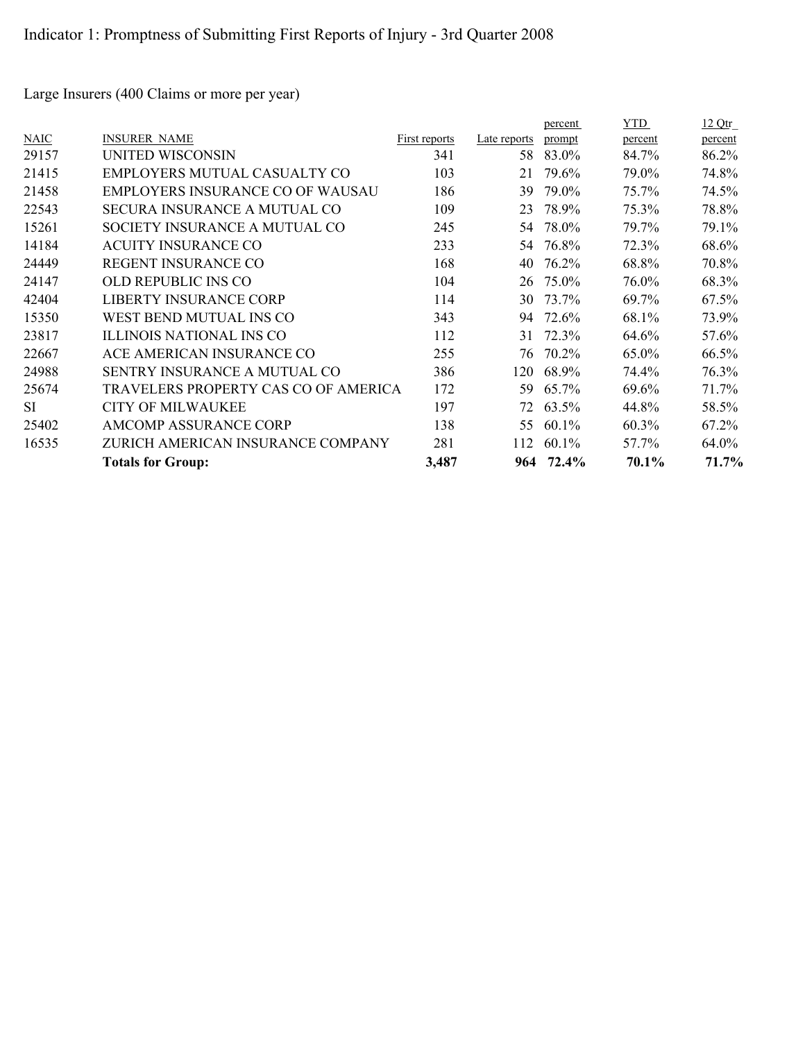Large Insurers (400 Claims or more per year)

|           |                                      |               |              | percent   | YTD     | 12Qtr   |
|-----------|--------------------------------------|---------------|--------------|-----------|---------|---------|
| NAIC      | <b>INSURER NAME</b>                  | First reports | Late reports | prompt    | percent | percent |
| 29157     | UNITED WISCONSIN                     | 341           | 58           | 83.0%     | 84.7%   | 86.2%   |
| 21415     | EMPLOYERS MUTUAL CASUALTY CO         | 103           | 21           | 79.6%     | 79.0%   | 74.8%   |
| 21458     | EMPLOYERS INSURANCE CO OF WAUSAU     | 186           | 39           | 79.0%     | 75.7%   | 74.5%   |
| 22543     | SECURA INSURANCE A MUTUAL CO         | 109           | 23           | 78.9%     | 75.3%   | 78.8%   |
| 15261     | SOCIETY INSURANCE A MUTUAL CO        | 245           | 54           | 78.0%     | 79.7%   | 79.1%   |
| 14184     | <b>ACUITY INSURANCE CO</b>           | 233           | 54.          | 76.8%     | 72.3%   | 68.6%   |
| 24449     | <b>REGENT INSURANCE CO</b>           | 168           | 40           | 76.2%     | 68.8%   | 70.8%   |
| 24147     | OLD REPUBLIC INS CO                  | 104           | 26           | 75.0%     | 76.0%   | 68.3%   |
| 42404     | LIBERTY INSURANCE CORP               | 114           | 30           | 73.7%     | 69.7%   | 67.5%   |
| 15350     | WEST BEND MUTUAL INS CO              | 343           | 94           | 72.6%     | 68.1%   | 73.9%   |
| 23817     | ILLINOIS NATIONAL INS CO             | 112           | 31           | 72.3%     | 64.6%   | 57.6%   |
| 22667     | ACE AMERICAN INSURANCE CO            | 255           | 76           | 70.2%     | 65.0%   | 66.5%   |
| 24988     | <b>SENTRY INSURANCE A MUTUAL CO</b>  | 386           | 120          | 68.9%     | 74.4%   | 76.3%   |
| 25674     | TRAVELERS PROPERTY CAS CO OF AMERICA | 172           | 59           | 65.7%     | 69.6%   | 71.7%   |
| <b>SI</b> | <b>CITY OF MILWAUKEE</b>             | 197           | 72           | 63.5%     | 44.8%   | 58.5%   |
| 25402     | AMCOMP ASSURANCE CORP                | 138           | 55           | $60.1\%$  | 60.3%   | 67.2%   |
| 16535     | ZURICH AMERICAN INSURANCE COMPANY    | 281           | 112          | $60.1\%$  | 57.7%   | 64.0%   |
|           | <b>Totals for Group:</b>             | 3,487         |              | 964 72.4% | 70.1%   | 71.7%   |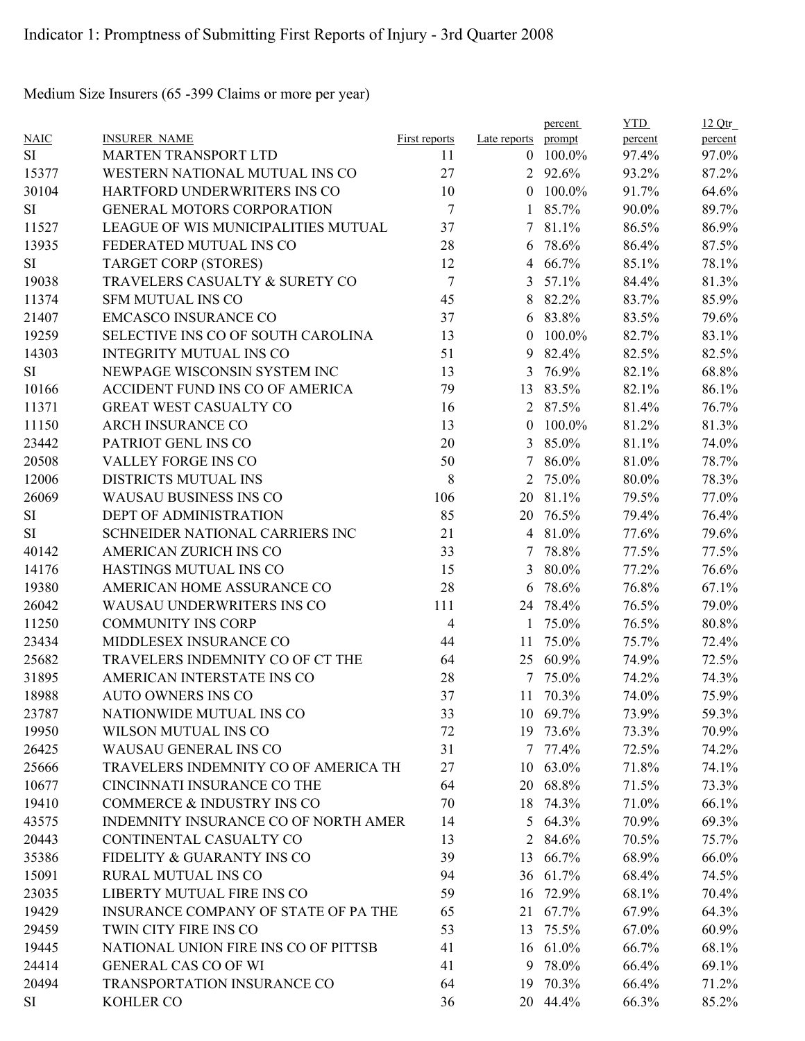Medium Size Insurers (65 -399 Claims or more per year)

|             |                                      |                |                     | percent  | <b>YTD</b> | 12Qtr   |
|-------------|--------------------------------------|----------------|---------------------|----------|------------|---------|
| <b>NAIC</b> | <b>INSURER NAME</b>                  | First reports  | Late reports prompt |          | percent    | percent |
| SI          | <b>MARTEN TRANSPORT LTD</b>          | 11             | $\theta$            | 100.0%   | 97.4%      | 97.0%   |
| 15377       | WESTERN NATIONAL MUTUAL INS CO       | 27             |                     | 2 92.6%  | 93.2%      | 87.2%   |
| 30104       | HARTFORD UNDERWRITERS INS CO         | 10             | $\theta$            | 100.0%   | 91.7%      | 64.6%   |
| SI          | <b>GENERAL MOTORS CORPORATION</b>    | 7              | $\mathbf{1}$        | 85.7%    | 90.0%      | 89.7%   |
| 11527       | LEAGUE OF WIS MUNICIPALITIES MUTUAL  | 37             | 7 <sup>1</sup>      | 81.1%    | 86.5%      | 86.9%   |
| 13935       | FEDERATED MUTUAL INS CO              | 28             | 6                   | 78.6%    | 86.4%      | 87.5%   |
| <b>SI</b>   | <b>TARGET CORP (STORES)</b>          | 12             | 4                   | 66.7%    | 85.1%      | 78.1%   |
| 19038       | TRAVELERS CASUALTY & SURETY CO       | $\overline{7}$ | 3                   | 57.1%    | 84.4%      | 81.3%   |
| 11374       | <b>SFM MUTUAL INS CO</b>             | 45             | 8                   | 82.2%    | 83.7%      | 85.9%   |
| 21407       | <b>EMCASCO INSURANCE CO</b>          | 37             | 6                   | 83.8%    | 83.5%      | 79.6%   |
| 19259       | SELECTIVE INS CO OF SOUTH CAROLINA   | 13             | $\theta$            | 100.0%   | 82.7%      | 83.1%   |
| 14303       | <b>INTEGRITY MUTUAL INS CO</b>       | 51             | 9                   | 82.4%    | 82.5%      | 82.5%   |
| SI          | NEWPAGE WISCONSIN SYSTEM INC         | 13             | 3                   | 76.9%    | 82.1%      | 68.8%   |
| 10166       | ACCIDENT FUND INS CO OF AMERICA      | 79             | 13                  | 83.5%    | 82.1%      | 86.1%   |
| 11371       | <b>GREAT WEST CASUALTY CO</b>        | 16             | $\overline{2}$      | 87.5%    | 81.4%      | 76.7%   |
| 11150       | <b>ARCH INSURANCE CO</b>             | 13             | $\theta$            | 100.0%   | 81.2%      | 81.3%   |
| 23442       | PATRIOT GENL INS CO                  | 20             | 3                   | 85.0%    | 81.1%      | 74.0%   |
| 20508       | VALLEY FORGE INS CO                  | 50             | $\tau$              | 86.0%    | 81.0%      | 78.7%   |
| 12006       | DISTRICTS MUTUAL INS                 | $8\phantom{1}$ | 2                   | 75.0%    | 80.0%      | 78.3%   |
| 26069       | WAUSAU BUSINESS INS CO               | 106            | 20                  | 81.1%    | 79.5%      | 77.0%   |
| SI          | DEPT OF ADMINISTRATION               | 85             | 20                  | 76.5%    | 79.4%      | 76.4%   |
| SI          | SCHNEIDER NATIONAL CARRIERS INC      | 21             |                     | 4 81.0%  | 77.6%      | 79.6%   |
| 40142       | AMERICAN ZURICH INS CO               | 33             | 7                   | 78.8%    | 77.5%      | 77.5%   |
| 14176       | HASTINGS MUTUAL INS CO               | 15             | $\overline{3}$      | 80.0%    | 77.2%      | 76.6%   |
| 19380       | AMERICAN HOME ASSURANCE CO           | 28             | 6                   | 78.6%    | 76.8%      | 67.1%   |
| 26042       | WAUSAU UNDERWRITERS INS CO           | 111            | 24                  | 78.4%    | 76.5%      | 79.0%   |
| 11250       | <b>COMMUNITY INS CORP</b>            | $\overline{4}$ | 1                   | 75.0%    | 76.5%      | 80.8%   |
| 23434       | MIDDLESEX INSURANCE CO               | 44             | 11                  | 75.0%    | 75.7%      | 72.4%   |
| 25682       | TRAVELERS INDEMNITY CO OF CT THE     | 64             | 25                  | 60.9%    | 74.9%      | 72.5%   |
| 31895       | AMERICAN INTERSTATE INS CO           | 28             |                     | 7 75.0%  | 74.2%      | 74.3%   |
| 18988       | <b>AUTO OWNERS INS CO</b>            | 37             |                     | 11 70.3% | 74.0%      | 75.9%   |
| 23787       | NATIONWIDE MUTUAL INS CO             | 33             |                     | 10 69.7% | 73.9%      | 59.3%   |
| 19950       | WILSON MUTUAL INS CO                 | 72             |                     | 19 73.6% | 73.3%      | 70.9%   |
| 26425       | <b>WAUSAU GENERAL INS CO</b>         | 31             |                     | 7 77.4%  | 72.5%      | 74.2%   |
| 25666       | TRAVELERS INDEMNITY CO OF AMERICA TH | 27             |                     | 10 63.0% | 71.8%      | 74.1%   |
| 10677       | CINCINNATI INSURANCE CO THE          | 64             |                     | 20 68.8% | 71.5%      | 73.3%   |
| 19410       | COMMERCE & INDUSTRY INS CO           | 70             |                     | 18 74.3% | 71.0%      | 66.1%   |
| 43575       | INDEMNITY INSURANCE CO OF NORTH AMER | 14             |                     | 5 64.3%  | 70.9%      | 69.3%   |
| 20443       | CONTINENTAL CASUALTY CO              | 13             | 2                   | 84.6%    | 70.5%      | 75.7%   |
| 35386       | FIDELITY & GUARANTY INS CO           | 39             |                     | 13 66.7% | 68.9%      | 66.0%   |
| 15091       | RURAL MUTUAL INS CO                  | 94             |                     | 36 61.7% | 68.4%      | 74.5%   |
| 23035       | LIBERTY MUTUAL FIRE INS CO           | 59             |                     | 16 72.9% | 68.1%      | 70.4%   |
| 19429       | INSURANCE COMPANY OF STATE OF PA THE | 65             |                     | 21 67.7% | 67.9%      | 64.3%   |
| 29459       | TWIN CITY FIRE INS CO                | 53             |                     | 13 75.5% | 67.0%      | 60.9%   |
| 19445       | NATIONAL UNION FIRE INS CO OF PITTSB | 41             |                     | 16 61.0% | 66.7%      | 68.1%   |
| 24414       | <b>GENERAL CAS CO OF WI</b>          | 41             | 9                   | 78.0%    | 66.4%      | 69.1%   |
| 20494       | TRANSPORTATION INSURANCE CO          | 64             | 19                  | 70.3%    | 66.4%      | 71.2%   |
|             | KOHLER CO                            | 36             |                     | 20 44.4% | 66.3%      | 85.2%   |
| SI          |                                      |                |                     |          |            |         |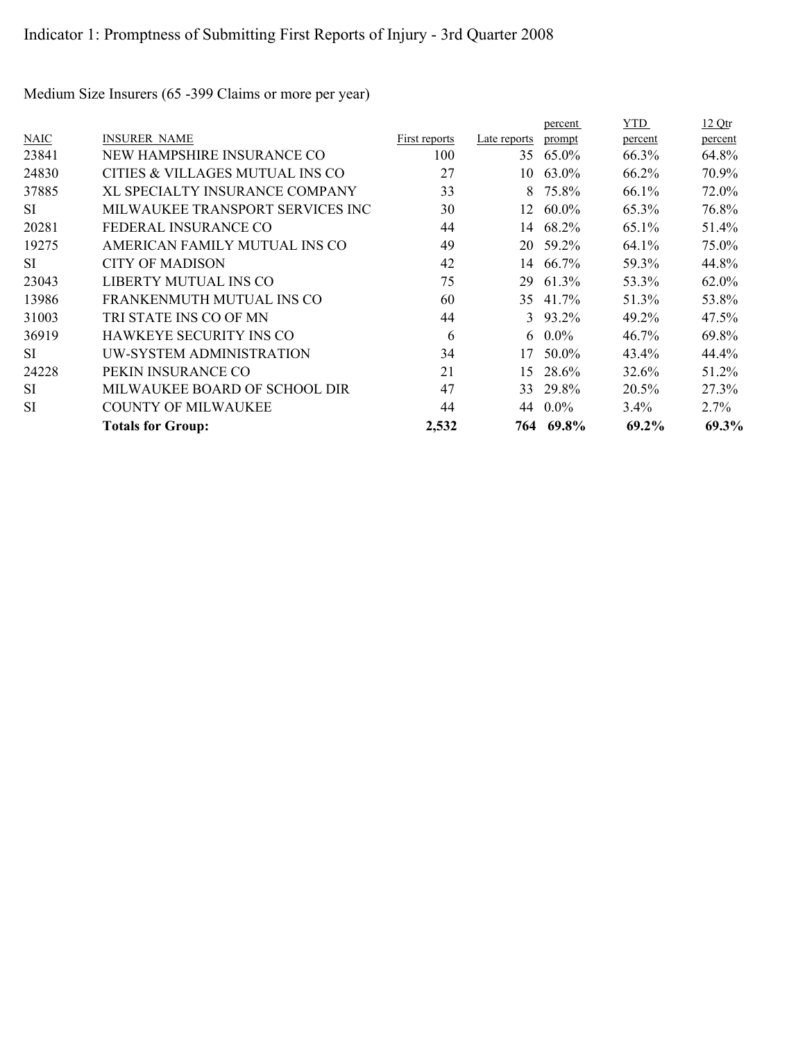|             |                                  |               |              | percent         | YTD     | <u>12 Qtr</u> |
|-------------|----------------------------------|---------------|--------------|-----------------|---------|---------------|
| <b>NAIC</b> | <b>INSURER NAME</b>              | First reports | Late reports | prompt          | percent | percent       |
| 23841       | NEW HAMPSHIRE INSURANCE CO       | 100           | 35           | 65.0%           | 66.3%   | 64.8%         |
| 24830       | CITIES & VILLAGES MUTUAL INS CO  | 27            | 10-          | 63.0%           | 66.2%   | 70.9%         |
| 37885       | XL SPECIALTY INSURANCE COMPANY   | 33            | 8            | 75.8%           | 66.1%   | 72.0%         |
| SI.         | MILWAUKEE TRANSPORT SERVICES INC | 30            | 12           | 60.0%           | 65.3%   | 76.8%         |
| 20281       | FEDERAL INSURANCE CO             | 44            |              | 14 68.2%        | 65.1%   | 51.4%         |
| 19275       | AMERICAN FAMILY MUTUAL INS CO    | 49            |              | 20 59.2%        | 64.1%   | 75.0%         |
| SI          | <b>CITY OF MADISON</b>           | 42            | 14           | 66.7%           | 59.3%   | 44.8%         |
| 23043       | LIBERTY MUTUAL INS CO            | 75            | 29           | 61.3%           | 53.3%   | 62.0%         |
| 13986       | FRANKENMUTH MUTUAL INS CO        | 60            | 35           | 41.7%           | 51.3%   | 53.8%         |
| 31003       | TRI STATE INS CO OF MN           | 44            |              | $3\quad 93.2\%$ | 49.2%   | 47.5%         |
| 36919       | <b>HAWKEYE SECURITY INS CO</b>   | 6             |              | 6 $0.0\%$       | 46.7%   | 69.8%         |
| <b>SI</b>   | UW-SYSTEM ADMINISTRATION         | 34            | 17           | 50.0%           | 43.4%   | 44.4%         |
| 24228       | PEKIN INSURANCE CO               | 21            | 15           | 28.6%           | 32.6%   | 51.2%         |
| SI          | MILWAUKEE BOARD OF SCHOOL DIR    | 47            | 33           | 29.8%           | 20.5%   | 27.3%         |
| SI          | <b>COUNTY OF MILWAUKEE</b>       | 44            | 44           | $0.0\%$         | $3.4\%$ | $2.7\%$       |
|             | <b>Totals for Group:</b>         | 2,532         |              | 764 69.8%       | 69.2%   | 69.3%         |

Medium Size Insurers (65 -399 Claims or more per year)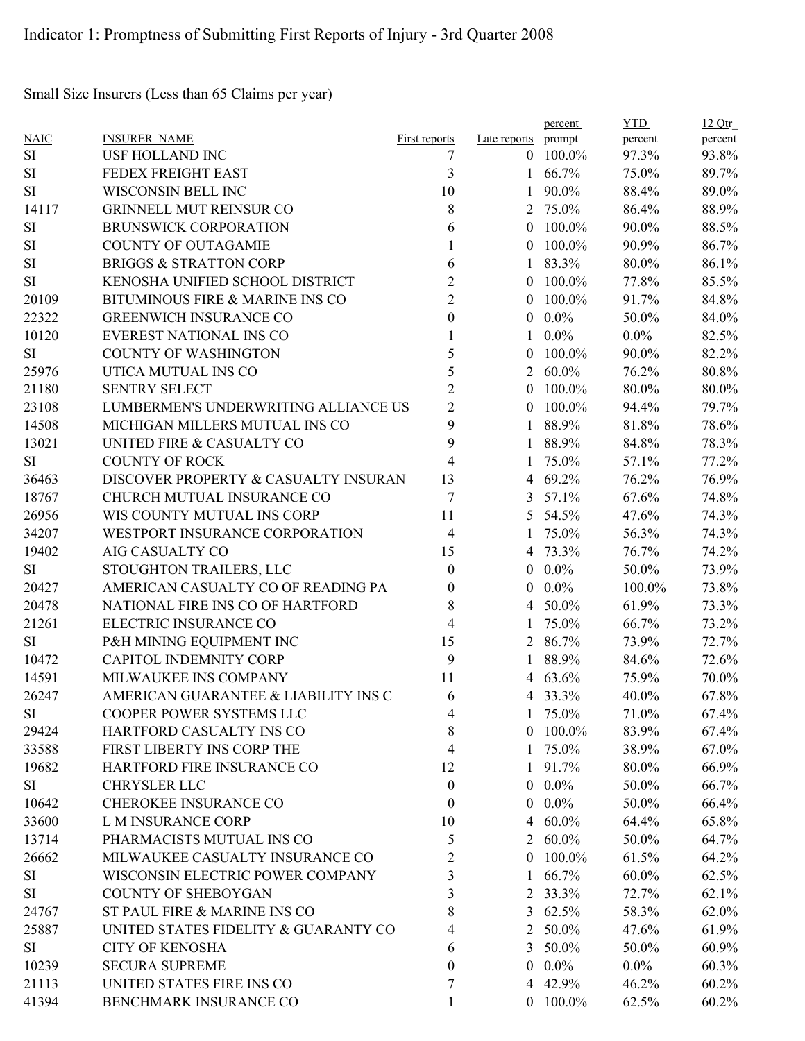Small Size Insurers (Less than 65 Claims per year)

|             |                                      |                         |                     | percent         | <b>YTD</b> | 12Qtr   |
|-------------|--------------------------------------|-------------------------|---------------------|-----------------|------------|---------|
| <b>NAIC</b> | <b>INSURER NAME</b>                  | First reports           | Late reports prompt |                 | percent    | percent |
| SI          | USF HOLLAND INC                      | 7                       | $\theta$            | 100.0%          | 97.3%      | 93.8%   |
| <b>SI</b>   | FEDEX FREIGHT EAST                   | 3                       | 1                   | 66.7%           | 75.0%      | 89.7%   |
| $\rm SI$    | WISCONSIN BELL INC                   | 10                      | 1                   | 90.0%           | 88.4%      | 89.0%   |
| 14117       | <b>GRINNELL MUT REINSUR CO</b>       | 8                       | $\overline{2}$      | 75.0%           | 86.4%      | 88.9%   |
| SI          | BRUNSWICK CORPORATION                | 6                       | $\mathbf{0}$        | 100.0%          | 90.0%      | 88.5%   |
| SI          | <b>COUNTY OF OUTAGAMIE</b>           | 1                       | $\theta$            | 100.0%          | 90.9%      | 86.7%   |
| SI          | <b>BRIGGS &amp; STRATTON CORP</b>    | 6                       | 1                   | 83.3%           | 80.0%      | 86.1%   |
| SI          | KENOSHA UNIFIED SCHOOL DISTRICT      | $\overline{\mathbf{c}}$ | $\theta$            | 100.0%          | 77.8%      | 85.5%   |
| 20109       | BITUMINOUS FIRE & MARINE INS CO      | $\overline{2}$          | $\theta$            | 100.0%          | 91.7%      | 84.8%   |
| 22322       | <b>GREENWICH INSURANCE CO</b>        | $\boldsymbol{0}$        | $\theta$            | $0.0\%$         | 50.0%      | 84.0%   |
| 10120       | EVEREST NATIONAL INS CO              |                         | 1                   | $0.0\%$         | $0.0\%$    | 82.5%   |
| SI          | <b>COUNTY OF WASHINGTON</b>          | 5                       | $\boldsymbol{0}$    | 100.0%          | 90.0%      | 82.2%   |
| 25976       | UTICA MUTUAL INS CO                  | 5                       | $\overline{2}$      | $60.0\%$        | 76.2%      | 80.8%   |
| 21180       | <b>SENTRY SELECT</b>                 | $\overline{2}$          | $\theta$            | 100.0%          | 80.0%      | 80.0%   |
| 23108       | LUMBERMEN'S UNDERWRITING ALLIANCE US | $\overline{c}$          | $\theta$            | 100.0%          | 94.4%      | 79.7%   |
| 14508       | MICHIGAN MILLERS MUTUAL INS CO       | 9                       | 1                   | 88.9%           | 81.8%      | 78.6%   |
| 13021       | UNITED FIRE & CASUALTY CO            | 9                       | 1                   | 88.9%           | 84.8%      | 78.3%   |
| SI          | <b>COUNTY OF ROCK</b>                | 4                       | 1                   | 75.0%           | 57.1%      | 77.2%   |
| 36463       | DISCOVER PROPERTY & CASUALTY INSURAN | 13                      | 4                   | 69.2%           | 76.2%      | 76.9%   |
| 18767       | CHURCH MUTUAL INSURANCE CO           | 7                       | 3                   | 57.1%           | 67.6%      | 74.8%   |
| 26956       | WIS COUNTY MUTUAL INS CORP           | 11                      | 5                   | 54.5%           | 47.6%      | 74.3%   |
| 34207       | WESTPORT INSURANCE CORPORATION       | $\overline{4}$          | 1                   | 75.0%           | 56.3%      | 74.3%   |
| 19402       | AIG CASUALTY CO                      | 15                      | 4                   | 73.3%           | 76.7%      | 74.2%   |
| SI          | STOUGHTON TRAILERS, LLC              | $\boldsymbol{0}$        | $\theta$            | $0.0\%$         | 50.0%      | 73.9%   |
| 20427       | AMERICAN CASUALTY CO OF READING PA   | 0                       | $\theta$            | $0.0\%$         | 100.0%     | 73.8%   |
| 20478       | NATIONAL FIRE INS CO OF HARTFORD     | 8                       | 4                   | 50.0%           | 61.9%      | 73.3%   |
| 21261       | ELECTRIC INSURANCE CO                | $\overline{4}$          | 1                   | 75.0%           | 66.7%      | 73.2%   |
| SI          | P&H MINING EQUIPMENT INC             | 15                      | $\overline{2}$      | 86.7%           | 73.9%      | 72.7%   |
| 10472       | <b>CAPITOL INDEMNITY CORP</b>        | 9                       | 1                   | 88.9%           | 84.6%      | 72.6%   |
| 14591       | MILWAUKEE INS COMPANY                | 11                      | 4                   | 63.6%           | 75.9%      | 70.0%   |
| 26247       | AMERICAN GUARANTEE & LIABILITY INS C | 6                       | 4                   | 33.3%           | 40.0%      | 67.8%   |
| SI          | COOPER POWER SYSTEMS LLC             | 4                       |                     | $1\quad 75.0\%$ | 71.0%      | 67.4%   |
| 29424       | HARTFORD CASUALTY INS CO             | 8                       |                     | $0$ 100.0%      | 83.9%      | 67.4%   |
| 33588       | FIRST LIBERTY INS CORP THE           | 4                       |                     | 1 75.0%         | 38.9%      | 67.0%   |
| 19682       | HARTFORD FIRE INSURANCE CO           | 12                      |                     | 1 91.7%         | 80.0%      | 66.9%   |
| SI          | CHRYSLER LLC                         | $\boldsymbol{0}$        | $\overline{0}$      | $0.0\%$         | 50.0%      | 66.7%   |
| 10642       | CHEROKEE INSURANCE CO                | $\boldsymbol{0}$        | $\overline{0}$      | $0.0\%$         | 50.0%      | 66.4%   |
| 33600       | L M INSURANCE CORP                   | 10                      | 4                   | 60.0%           | 64.4%      | 65.8%   |
| 13714       | PHARMACISTS MUTUAL INS CO            | 5                       | 2                   | $60.0\%$        | 50.0%      | 64.7%   |
| 26662       | MILWAUKEE CASUALTY INSURANCE CO      | 2                       | $\theta$            | 100.0%          | 61.5%      | 64.2%   |
| SI          | WISCONSIN ELECTRIC POWER COMPANY     | 3                       | $\mathbf{1}$        | 66.7%           | $60.0\%$   | 62.5%   |
| SI          | <b>COUNTY OF SHEBOYGAN</b>           | 3                       |                     | 2 33.3%         | 72.7%      | 62.1%   |
| 24767       | ST PAUL FIRE & MARINE INS CO         | 8                       |                     | 3 $62.5\%$      | 58.3%      | 62.0%   |
|             |                                      |                         |                     |                 |            |         |
| 25887       | UNITED STATES FIDELITY & GUARANTY CO | 4                       | 3                   | 2 50.0%         | 47.6%      | 61.9%   |
| SI          | <b>CITY OF KENOSHA</b>               | 6                       |                     | 50.0%           | 50.0%      | 60.9%   |
| 10239       | <b>SECURA SUPREME</b>                | 0                       | $\overline{0}$      | $0.0\%$         | $0.0\%$    | 60.3%   |
| 21113       | UNITED STATES FIRE INS CO            | 7                       |                     | 4 42.9%         | 46.2%      | 60.2%   |
| 41394       | BENCHMARK INSURANCE CO               |                         |                     | $0$ 100.0%      | 62.5%      | 60.2%   |